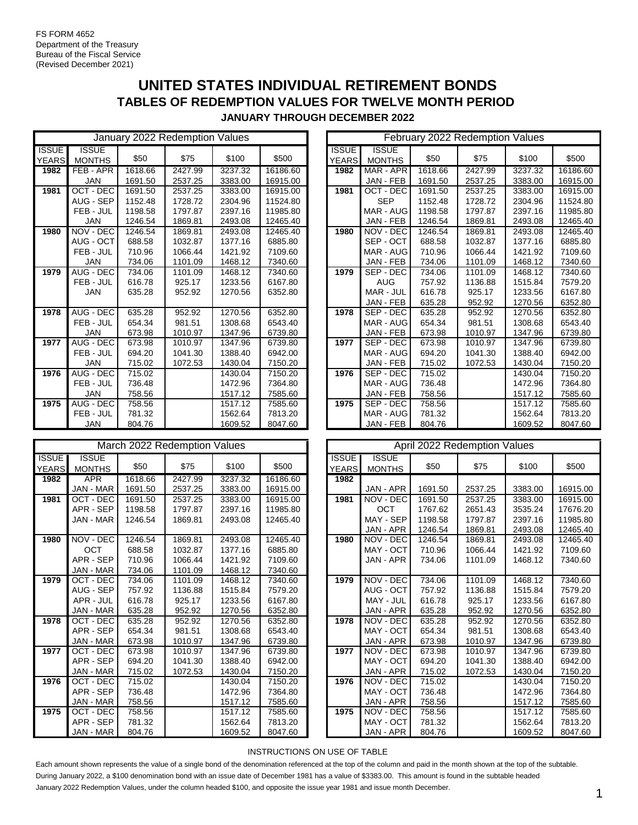# **UNITED STATES INDIVIDUAL RETIREMENT BONDS TABLES OF REDEMPTION VALUES FOR TWELVE MONTH PERIOD JANUARY THROUGH DECEMBER 2022**

|                              |                               |         | January 2022 Redemption Values |         |          | February 2022 Redemption Values |                       |                               |         |         |         |          |  |
|------------------------------|-------------------------------|---------|--------------------------------|---------|----------|---------------------------------|-----------------------|-------------------------------|---------|---------|---------|----------|--|
| <b>ISSUE</b><br><b>YEARS</b> | <b>ISSUE</b><br><b>MONTHS</b> | \$50    | \$75                           | \$100   | \$500    |                                 | <b>ISSUE</b><br>YEARS | <b>ISSUE</b><br><b>MONTHS</b> | \$50    | \$75    | \$100   | \$500    |  |
| 1982                         | FEB-APR                       | 1618.66 | 2427.99                        | 3237.32 | 16186.60 |                                 | 1982                  | MAR - APR                     | 1618.66 | 2427.99 | 3237.32 | 16186.60 |  |
|                              | <b>JAN</b>                    | 1691.50 | 2537.25                        | 3383.00 | 16915.00 |                                 |                       | JAN - FEB                     | 1691.50 | 2537.25 | 3383.00 | 16915.0  |  |
| 1981                         | OCT - DEC                     | 1691.50 | 2537.25                        | 3383.00 | 16915.00 |                                 | 1981                  | OCT - DEC                     | 1691.50 | 2537.25 | 3383.00 | 16915.0  |  |
|                              | AUG - SEP                     | 1152.48 | 1728.72                        | 2304.96 | 11524.80 |                                 |                       | <b>SEP</b>                    | 1152.48 | 1728.72 | 2304.96 | 11524.8  |  |
|                              | FEB - JUL                     | 1198.58 | 1797.87                        | 2397.16 | 11985.80 |                                 |                       | MAR - AUG                     | 1198.58 | 1797.87 | 2397.16 | 11985.80 |  |
|                              | <b>JAN</b>                    | 1246.54 | 1869.81                        | 2493.08 | 12465.40 |                                 |                       | JAN - FEB                     | 1246.54 | 1869.81 | 2493.08 | 12465.40 |  |
| 1980                         | NOV - DEC                     | 1246.54 | 1869.81                        | 2493.08 | 12465.40 |                                 | 1980                  | NOV - DEC                     | 1246.54 | 1869.81 | 2493.08 | 12465.40 |  |
|                              | AUG - OCT                     | 688.58  | 1032.87                        | 1377.16 | 6885.80  |                                 |                       | SEP - OCT                     | 688.58  | 1032.87 | 1377.16 | 6885.80  |  |
|                              | FEB - JUL                     | 710.96  | 1066.44                        | 1421.92 | 7109.60  |                                 |                       | MAR - AUG                     | 710.96  | 1066.44 | 1421.92 | 7109.60  |  |
|                              | <b>JAN</b>                    | 734.06  | 1101.09                        | 1468.12 | 7340.60  |                                 |                       | JAN - FEB                     | 734.06  | 1101.09 | 1468.12 | 7340.60  |  |
| 1979                         | AUG - DEC                     | 734.06  | 1101.09                        | 1468.12 | 7340.60  |                                 | 1979                  | SEP - DEC                     | 734.06  | 1101.09 | 1468.12 | 7340.60  |  |
|                              | FEB - JUL                     | 616.78  | 925.17                         | 1233.56 | 6167.80  |                                 |                       | <b>AUG</b>                    | 757.92  | 1136.88 | 1515.84 | 7579.20  |  |
|                              | <b>JAN</b>                    | 635.28  | 952.92                         | 1270.56 | 6352.80  |                                 |                       | MAR - JUL                     | 616.78  | 925.17  | 1233.56 | 6167.80  |  |
|                              |                               |         |                                |         |          |                                 |                       | JAN - FEB                     | 635.28  | 952.92  | 1270.56 | 6352.80  |  |
| 1978                         | AUG - DEC                     | 635.28  | 952.92                         | 1270.56 | 6352.80  |                                 | 1978                  | SEP - DEC                     | 635.28  | 952.92  | 1270.56 | 6352.80  |  |
|                              | FEB - JUL                     | 654.34  | 981.51                         | 1308.68 | 6543.40  |                                 |                       | MAR - AUG                     | 654.34  | 981.51  | 1308.68 | 6543.40  |  |
|                              | JAN                           | 673.98  | 1010.97                        | 1347.96 | 6739.80  |                                 |                       | JAN - FEB                     | 673.98  | 1010.97 | 1347.96 | 6739.80  |  |
| 1977                         | AUG - DEC                     | 673.98  | 1010.97                        | 1347.96 | 6739.80  |                                 | 1977                  | SEP - DEC                     | 673.98  | 1010.97 | 1347.96 | 6739.80  |  |
|                              | FEB - JUL                     | 694.20  | 1041.30                        | 1388.40 | 6942.00  |                                 |                       | MAR - AUG                     | 694.20  | 1041.30 | 1388.40 | 6942.00  |  |
|                              | <b>JAN</b>                    | 715.02  | 1072.53                        | 1430.04 | 7150.20  |                                 |                       | JAN - FEB                     | 715.02  | 1072.53 | 1430.04 | 7150.20  |  |
| 1976                         | AUG - DEC                     | 715.02  |                                | 1430.04 | 7150.20  |                                 | 1976                  | SEP - DEC                     | 715.02  |         | 1430.04 | 7150.20  |  |
|                              | FEB - JUL                     | 736.48  |                                | 1472.96 | 7364.80  |                                 |                       | MAR - AUG                     | 736.48  |         | 1472.96 | 7364.80  |  |
|                              | <b>JAN</b>                    | 758.56  |                                | 1517.12 | 7585.60  |                                 |                       | JAN - FEB                     | 758.56  |         | 1517.12 | 7585.60  |  |
| 1975                         | AUG - DEC                     | 758.56  |                                | 1517.12 | 7585.60  |                                 | 1975                  | SEP - DEC                     | 758.56  |         | 1517.12 | 7585.60  |  |
|                              | FEB - JUL                     | 781.32  |                                | 1562.64 | 7813.20  |                                 |                       | MAR - AUG                     | 781.32  |         | 1562.64 | 7813.20  |  |
|                              | <b>JAN</b>                    | 804.76  |                                | 1609.52 | 8047.60  |                                 |                       | JAN - FEB                     | 804.76  |         | 1609.52 | 8047.60  |  |

|                              |                                                         |                                      | March 2022 Redemption Values           |                                          |                                          |                              |                                                  |                                      | April 2022 Redemption Values           |                                          |                                          |
|------------------------------|---------------------------------------------------------|--------------------------------------|----------------------------------------|------------------------------------------|------------------------------------------|------------------------------|--------------------------------------------------|--------------------------------------|----------------------------------------|------------------------------------------|------------------------------------------|
| <b>ISSUE</b><br><b>YEARS</b> | <b>ISSUE</b><br><b>MONTHS</b>                           | \$50                                 | \$75                                   | \$100                                    | \$500                                    | <b>ISSUE</b><br><b>YEARS</b> | <b>ISSUE</b><br><b>MONTHS</b>                    | \$50                                 | \$75                                   | \$100                                    | \$500                                    |
| 1982                         | <b>APR</b><br>JAN - MAR                                 | 1618.66<br>1691.50                   | 2427.99<br>2537.25                     | 3237.32<br>3383.00                       | 16186.60<br>16915.00                     | 1982                         | JAN - APR                                        | 1691.50                              | 2537.25                                | 3383.00                                  | 16915.00                                 |
| 1981                         | OCT DEC                                                 | 1691.50                              | 2537.25                                | 3383.00                                  | 16915.00                                 | 1981                         | NOV - DEC                                        | 1691.50                              | 2537.25                                | 3383.00                                  | 16915.00                                 |
|                              | APR - SEP<br><b>JAN - MAR</b>                           | 1198.58<br>1246.54                   | 1797.87<br>1869.81                     | 2397.16<br>2493.08                       | 11985.80<br>12465.40                     |                              | OCT<br>MAY - SEP<br>JAN - APR                    | 1767.62<br>1198.58<br>1246.54        | 2651.43<br>1797.87<br>1869.81          | 3535.24<br>2397.16<br>2493.08            | 17676.20<br>11985.80<br>12465.40         |
| 1980                         | NOV - DEC<br><b>OCT</b>                                 | 1246.54<br>688.58                    | 1869.81<br>1032.87                     | 2493.08<br>1377.16                       | 12465.40<br>6885.80                      | 1980                         | NOV - DEC<br>MAY - OCT                           | 1246.54<br>710.96                    | 1869.81<br>1066.44                     | 2493.08<br>1421.92                       | 12465.40<br>7109.60                      |
|                              | APR - SEP<br><b>JAN - MAR</b>                           | 710.96<br>734.06                     | 1066.44<br>1101.09                     | 1421.92<br>1468.12                       | 7109.60<br>7340.60                       |                              | JAN - APR                                        | 734.06                               | 1101.09                                | 1468.12                                  | 7340.60                                  |
| 1979                         | OCT - DEC<br>AUG - SEP<br>APR - JUL<br><b>JAN - MAR</b> | 734.06<br>757.92<br>616.78<br>635.28 | 1101.09<br>1136.88<br>925.17<br>952.92 | 1468.12<br>1515.84<br>1233.56<br>1270.56 | 7340.60<br>7579.20<br>6167.80<br>6352.80 | 1979                         | NOV - DEC<br>AUG - OCT<br>MAY - JUL<br>JAN - APR | 734.06<br>757.92<br>616.78<br>635.28 | 1101.09<br>1136.88<br>925.17<br>952.92 | 1468.12<br>1515.84<br>1233.56<br>1270.56 | 7340.60<br>7579.20<br>6167.80<br>6352.80 |
| 1978                         | OCT - DEC<br>APR - SEP<br><b>JAN - MAR</b>              | 635.28<br>654.34<br>673.98           | 952.92<br>981.51<br>1010.97            | 1270.56<br>1308.68<br>1347.96            | 6352.80<br>6543.40<br>6739.80            | 1978                         | NOV - DEC<br>MAY - OCT<br>JAN - APR              | 635.28<br>654.34<br>673.98           | 952.92<br>981.51<br>1010.97            | 1270.56<br>1308.68<br>1347.96            | 6352.80<br>6543.40<br>6739.80            |
| 1977                         | OCT - DEC<br>APR - SEP<br><b>JAN - MAR</b>              | 673.98<br>694.20<br>715.02           | 1010.97<br>1041.30<br>1072.53          | 1347.96<br>1388.40<br>1430.04            | 6739.80<br>6942.00<br>7150.20            | 1977                         | NOV - DEC<br>MAY - OCT<br>JAN - APR              | 673.98<br>694.20<br>715.02           | 1010.97<br>1041.30<br>1072.53          | 1347.96<br>1388.40<br>1430.04            | 6739.80<br>6942.00<br>7150.20            |
| 1976                         | OCT - DEC<br>APR - SEP<br>JAN - MAR                     | 715.02<br>736.48<br>758.56           |                                        | 1430.04<br>1472.96<br>1517.12            | 7150.20<br>7364.80<br>7585.60            | 1976                         | NOV - DEC<br>MAY - OCT<br>JAN - APR              | 715.02<br>736.48<br>758.56           |                                        | 1430.04<br>1472.96<br>1517.12            | 7150.20<br>7364.80<br>7585.60            |
| 1975                         | OCT - DEC<br>APR - SEP<br>JAN - MAR                     | 758.56<br>781.32<br>804.76           |                                        | 1517.12<br>1562.64<br>1609.52            | 7585.60<br>7813.20<br>8047.60            | 1975                         | NOV - DEC<br>MAY - OCT<br>JAN - APR              | 758.56<br>781.32<br>804.76           |                                        | 1517.12<br>1562.64<br>1609.52            | 7585.60<br>7813.20<br>8047.60            |

|             |               |         | January 2022 Redemption Values |         |          |              |               | <b>February 2022 Redemption Values</b> |         |         |          |
|-------------|---------------|---------|--------------------------------|---------|----------|--------------|---------------|----------------------------------------|---------|---------|----------|
| SSUE        | <b>ISSUE</b>  |         |                                |         |          | <b>ISSUE</b> | <b>ISSUE</b>  |                                        |         |         |          |
| <b>EARS</b> | <b>MONTHS</b> | \$50    | \$75                           | \$100   | \$500    | YEARS        | <b>MONTHS</b> | \$50                                   | \$75    | \$100   | \$500    |
| 1982        | FEB - APR     | 1618.66 | 2427.99                        | 3237.32 | 16186.60 | 1982         | MAR - APR     | 1618.66                                | 2427.99 | 3237.32 | 16186.60 |
|             | <b>JAN</b>    | 1691.50 | 2537.25                        | 3383.00 | 16915.00 |              | JAN - FEB     | 1691.50                                | 2537.25 | 3383.00 | 16915.00 |
| 1981        | OCT - DEC     | 1691.50 | 2537.25                        | 3383.00 | 16915.00 | 1981         | OCT - DEC     | 1691.50                                | 2537.25 | 3383.00 | 16915.00 |
|             | AUG - SEP     | 1152.48 | 1728.72                        | 2304.96 | 11524.80 |              | <b>SEP</b>    | 1152.48                                | 1728.72 | 2304.96 | 11524.80 |
|             | FEB - JUL     | 1198.58 | 1797.87                        | 2397.16 | 11985.80 |              | MAR - AUG     | 1198.58                                | 1797.87 | 2397.16 | 11985.80 |
|             | <b>JAN</b>    | 1246.54 | 1869.81                        | 2493.08 | 12465.40 |              | JAN - FEB     | 1246.54                                | 1869.81 | 2493.08 | 12465.40 |
| 1980        | NOV - DEC     | 1246.54 | 1869.81                        | 2493.08 | 12465.40 | 1980         | NOV - DEC     | 1246.54                                | 1869.81 | 2493.08 | 12465.40 |
|             | AUG - OCT     | 688.58  | 1032.87                        | 1377.16 | 6885.80  |              | SEP - OCT     | 688.58                                 | 1032.87 | 1377.16 | 6885.80  |
|             | FEB - JUL     | 710.96  | 1066.44                        | 1421.92 | 7109.60  |              | MAR - AUG     | 710.96                                 | 1066.44 | 1421.92 | 7109.60  |
|             | JAN           | 734.06  | 1101.09                        | 1468.12 | 7340.60  |              | JAN - FEB     | 734.06                                 | 1101.09 | 1468.12 | 7340.60  |
| 1979        | AUG - DEC     | 734.06  | 1101.09                        | 1468.12 | 7340.60  | 1979         | SEP - DEC     | 734.06                                 | 1101.09 | 1468.12 | 7340.60  |
|             | FEB - JUL     | 616.78  | 925.17                         | 1233.56 | 6167.80  |              | <b>AUG</b>    | 757.92                                 | 1136.88 | 1515.84 | 7579.20  |
|             | <b>JAN</b>    | 635.28  | 952.92                         | 1270.56 | 6352.80  |              | MAR - JUL     | 616.78                                 | 925.17  | 1233.56 | 6167.80  |
|             |               |         |                                |         |          |              | JAN - FEB     | 635.28                                 | 952.92  | 1270.56 | 6352.80  |
| 1978        | AUG - DEC     | 635.28  | 952.92                         | 1270.56 | 6352.80  | 1978         | SEP - DEC     | 635.28                                 | 952.92  | 1270.56 | 6352.80  |
|             | FEB - JUL     | 654.34  | 981.51                         | 1308.68 | 6543.40  |              | MAR - AUG     | 654.34                                 | 981.51  | 1308.68 | 6543.40  |
|             | <b>JAN</b>    | 673.98  | 1010.97                        | 1347.96 | 6739.80  |              | JAN - FEB     | 673.98                                 | 1010.97 | 1347.96 | 6739.80  |
| 1977        | AUG - DEC     | 673.98  | 1010.97                        | 1347.96 | 6739.80  | 1977         | SEP - DEC     | 673.98                                 | 1010.97 | 1347.96 | 6739.80  |
|             | FEB - JUL     | 694.20  | 1041.30                        | 1388.40 | 6942.00  |              | MAR - AUG     | 694.20                                 | 1041.30 | 1388.40 | 6942.00  |
|             | <b>JAN</b>    | 715.02  | 1072.53                        | 1430.04 | 7150.20  |              | JAN - FEB     | 715.02                                 | 1072.53 | 1430.04 | 7150.20  |
| 1976        | AUG - DEC     | 715.02  |                                | 1430.04 | 7150.20  | 1976         | SEP - DEC     | 715.02                                 |         | 1430.04 | 7150.20  |
|             | FEB - JUL     | 736.48  |                                | 1472.96 | 7364.80  |              | MAR - AUG     | 736.48                                 |         | 1472.96 | 7364.80  |
|             | <b>JAN</b>    | 758.56  |                                | 1517.12 | 7585.60  |              | JAN - FEB     | 758.56                                 |         | 1517.12 | 7585.60  |
| 1975        | AUG - DEC     | 758.56  |                                | 1517.12 | 7585.60  | 1975         | SEP - DEC     | 758.56                                 |         | 1517.12 | 7585.60  |
|             | FEB - JUL     | 781.32  |                                | 1562.64 | 7813.20  |              | MAR - AUG     | 781.32                                 |         | 1562.64 | 7813.20  |
|             | JAN           | 804.76  |                                | 1609.52 | 8047.60  |              | JAN - FEB     | 804.76                                 |         | 1609.52 | 8047.60  |

|                     |                               |                    | March 2022 Redemption Values |                    |                      |                              |                               |                  | April 2022 Redemption Values |                    |                    |
|---------------------|-------------------------------|--------------------|------------------------------|--------------------|----------------------|------------------------------|-------------------------------|------------------|------------------------------|--------------------|--------------------|
| SSUE<br><b>EARS</b> | <b>ISSUE</b><br><b>MONTHS</b> | \$50               | \$75                         | \$100              | \$500                | <b>ISSUE</b><br><b>YEARS</b> | <b>ISSUE</b><br><b>MONTHS</b> | \$50             | \$75                         | \$100              | \$500              |
| 1982                | <b>APR</b><br>JAN - MAR       | 1618.66<br>1691.50 | 2427.99<br>2537.25           | 3237.32<br>3383.00 | 16186.60<br>16915.00 | 1982                         | JAN - APR                     | 1691.50          | 2537.25                      | 3383.00            | 16915.00           |
| 1981                | OCT - DEC                     | 1691.50            | 2537.25                      | 3383.00            | 16915.00             | 1981                         | NOV - DEC                     | 1691.50          | 2537.25                      | 3383.00            | 16915.00           |
|                     | APR - SEP                     | 1198.58            | 1797.87                      | 2397.16            | 11985.80             |                              | <b>OCT</b>                    | 1767.62          | 2651.43                      | 3535.24            | 17676.20           |
|                     | JAN - MAR                     | 1246.54            | 1869.81                      | 2493.08            | 12465.40             |                              | MAY - SEP                     | 1198.58          | 1797.87                      | 2397.16            | 11985.80           |
|                     |                               |                    |                              |                    |                      |                              | JAN - APR                     | 1246.54          | 1869.81                      | 2493.08            | 12465.40           |
| 1980                | NOV - DEC                     | 1246.54            | 1869.81                      | 2493.08            | 12465.40             | 1980                         | NOV - DEC                     | 1246.54          | 1869.81                      | 2493.08            | 12465.40           |
|                     | <b>OCT</b>                    | 688.58             | 1032.87                      | 1377.16            | 6885.80              |                              | MAY - OCT                     | 710.96           | 1066.44                      | 1421.92            | 7109.60            |
|                     | APR - SEP                     | 710.96             | 1066.44                      | 1421.92            | 7109.60              |                              | JAN - APR                     | 734.06           | 1101.09                      | 1468.12            | 7340.60            |
|                     | <b>JAN - MAR</b>              | 734.06             | 1101.09                      | 1468.12            | 7340.60              |                              |                               |                  |                              |                    |                    |
| 1979                | OCT - DEC                     | 734.06             | 1101.09                      | 1468.12            | 7340.60              | 1979                         | NOV - DEC                     | 734.06           | 1101.09                      | 1468.12            | 7340.60            |
|                     | AUG - SEP                     | 757.92             | 1136.88                      | 1515.84            | 7579.20              |                              | AUG - OCT                     | 757.92           | 1136.88                      | 1515.84            | 7579.20            |
|                     | APR - JUL                     | 616.78             | 925.17                       | 1233.56            | 6167.80              |                              | MAY - JUL                     | 616.78           | 925.17                       | 1233.56            | 6167.80            |
|                     | JAN - MAR                     | 635.28             | 952.92                       | 1270.56            | 6352.80              |                              | JAN - APR                     | 635.28           | 952.92                       | 1270.56            | 6352.80            |
| 1978                | OCT - DEC                     | 635.28             | 952.92                       | 1270.56            | 6352.80              | 1978                         | NOV - DEC                     | 635.28           | 952.92                       | 1270.56            | 6352.80            |
|                     | APR - SEP                     | 654.34             | 981.51                       | 1308.68            | 6543.40              |                              | MAY - OCT                     | 654.34           | 981.51                       | 1308.68            | 6543.40            |
|                     | JAN - MAR                     | 673.98             | 1010.97                      | 1347.96            | 6739.80              |                              | JAN - APR                     | 673.98           | 1010.97                      | 1347.96            | 6739.80            |
| 1977                | OCT - DEC                     | 673.98             | 1010.97                      | 1347.96            | 6739.80              | 1977                         | NOV - DEC                     | 673.98           | 1010.97                      | 1347.96            | 6739.80            |
|                     | APR - SEP                     | 694.20             | 1041.30                      | 1388.40            | 6942.00              |                              | MAY - OCT                     | 694.20           | 1041.30                      | 1388.40            | 6942.00            |
| 1976                | JAN - MAR<br>OCT - DEC        | 715.02<br>715.02   | 1072.53                      | 1430.04<br>1430.04 | 7150.20<br>7150.20   | 1976                         | JAN - APR<br>NOV - DEC        | 715.02<br>715.02 | 1072.53                      | 1430.04<br>1430.04 | 7150.20<br>7150.20 |
|                     | APR - SEP                     | 736.48             |                              | 1472.96            | 7364.80              |                              | MAY - OCT                     | 736.48           |                              | 1472.96            | 7364.80            |
|                     | <b>JAN - MAR</b>              | 758.56             |                              | 1517.12            | 7585.60              |                              | JAN - APR                     | 758.56           |                              | 1517.12            | 7585.60            |
| 1975                | OCT - DEC                     | 758.56             |                              | 1517.12            | 7585.60              | 1975                         | NOV - DEC                     | 758.56           |                              | 1517.12            | 7585.60            |
|                     | APR - SEP                     | 781.32             |                              | 1562.64            | 7813.20              |                              | MAY - OCT                     | 781.32           |                              | 1562.64            | 7813.20            |
|                     | JAN - MAR                     | 804.76             |                              | 1609.52            | 8047.60              |                              | JAN - APR                     | 804.76           |                              | 1609.52            | 8047.60            |

### INSTRUCTIONS ON USE OF TABLE

Each amount shown represents the value of a single bond of the denomination referenced at the top of the column and paid in the month shown at the top of the subtable. During January 2022, a \$100 denomination bond with an issue date of December 1981 has a value of \$3383.00. This amount is found in the subtable headed January 2022 Redemption Values, under the column headed \$100, and opposite the issue year 1981 and issue month December.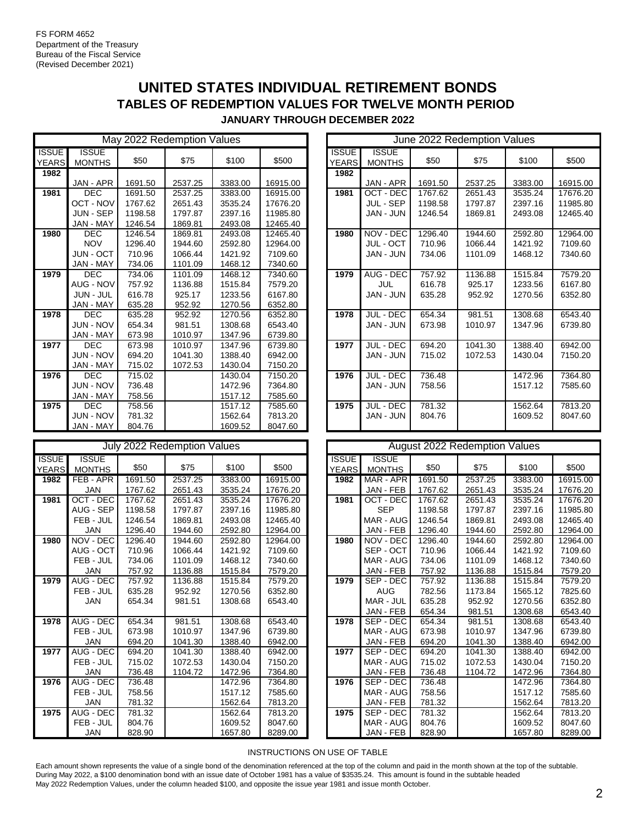## **UNITED STATES INDIVIDUAL RETIREMENT BONDS TABLES OF REDEMPTION VALUES FOR TWELVE MONTH PERIOD JANUARY THROUGH DECEMBER 2022**

May 2022 Redemption Values **ISSUE** YEARS ISSUE MONTHS \$50 \$75 \$100 \$500 **1982 1982** JAN - APR 1691.50 2537.25 3383.00 16915.00 **1982** JAN - APR 1691.50 2537.25 3383.00 16915.00 DEC 1691.50 2537.25 3383.00 16915.00 **1981** OCT - DEC 1767.62 2651.43 3535.24 17676.20 OCT - NOV 1767.62 2651.43 3535.24 17676.20 **1981** JUL - SEP 1198.58 1797.87 2397.16 11985.80 JUN - SEP 1198.58 1797.87 2397.16 11985.80 **1981** JAN - JUN 1246.54 1869.81 2493.08 12465.40 1980 JAN - MAY 1246.54 1869.81 2493.08 12465.40<br>**1980** DEC 1246.54 1869.81 2493.08 12465.40 DEC 1246.54 1869.81 2493.08 12465.40 **1980** NOV - DEC 1296.40 1944.60 2592.80 12964.00 NOV 1296.40 1944.60 2592.80 12964.00 **1980** JUL - OCT 710.96 1066.44 1421.92 7109.60 JUN - OCT 710.96 1066.44 1421.92 7109.60 **1980** JAN - JUN 734.06 1101.09 1468.12 7340.60 JAN - MAY 734.06 **1101.09** 1468.12 7340.60 **1980** 16 100.09 **1468.12** 7340.60 DEC 734.06 1101.09 1468.12 7340.60 **1979** AUG - DEC 757.92 1136.88 1515.84 7579.20 AUG - NOV 757.92 1136.88 1515.84 7579.20 **1979** JUL 616.78 925.17 1233.56 6167.80 JUN - JUL 616.78 925.17 1233.56 6167.80 **1979** JAN - JUN 635.28 952.92 1270.56 6352.80 JAN - MAY 635.28 952.92 1270.56 6352.80 **1979** DEC 635.28 952.92 1270.56 6352.80 **1978** JUL - DEC 654.34 981.51 1308.68 6543.40 JUN - NOV 654.34 981.51 1308.68 6543.40 **1978** JAN - JUN 673.98 1010.97 1347.96 6739.80 **JAN - MAY 673.98 1010.97 1347.96 6739.80**  DEC 673.98 1010.97 1347.96 6739.80 **1977** JUL - DEC 694.20 1041.30 1388.40 6942.00 JUN - NOV 694.20 1041.30 1388.40 6942.00 **1977** JAN - JUN 715.02 1072.53 1430.04 7150.20 JAN - MAY 715.02 1072.53 1430.04 7150.20 **No data 1976 |** DEC | 715.02 | | 1430.04 | 7150.20 **| | 1976 |** JUL - DEC | 736.48 | | 1472.96 | 7364.80 JUN - NOV | 736.48 1 1472.96 7364.80 JAN - JUN | 758.56 1 1517.12 7585.60 **1975 JAN - MAY 758.56 1517.12 7585.60** 1517.12 7585.60 1517.12 17585.60 **1975 |** DEC | 758.56 | | 1517.12 | 7585.60 **| | 1975** | JUL - DEC | 781.32 | | 1562.64 | 7813.20 JUN - NOV 781.32 1562.64 7813.20 **1975** JAN - JUN 804.76 1609.52 8047.60 JAN - MAY 804.76 **1609.52** 8047.60

|                              |                               |         | June 2022 Redemption Values |         |          |
|------------------------------|-------------------------------|---------|-----------------------------|---------|----------|
| <b>ISSUE</b><br><b>YEARS</b> | <b>ISSUE</b><br><b>MONTHS</b> | \$50    | \$75                        | \$100   | \$500    |
| 1982                         |                               |         |                             |         |          |
|                              | JAN - APR                     | 1691.50 | 2537.25                     | 3383.00 | 16915.00 |
| 1981                         | OCT - DEC                     | 1767.62 | 2651.43                     | 3535.24 | 17676.20 |
|                              | JUL - SEP                     | 1198.58 | 1797.87                     | 2397.16 | 11985.80 |
|                              | JAN - JUN                     | 1246.54 | 1869.81                     | 2493.08 | 12465.40 |
| 1980                         | NOV - DEC                     | 1296.40 | 1944.60                     | 2592.80 | 12964.00 |
|                              | JUL - OCT                     | 710.96  | 1066.44                     | 1421.92 | 7109.60  |
|                              | JAN - JUN                     | 734.06  | 1101.09                     | 1468.12 | 7340.60  |
| 1979                         | AUG - DEC                     | 757.92  | 1136.88                     | 1515.84 | 7579.20  |
|                              | <b>JUL</b>                    | 616.78  | 925.17                      | 1233.56 | 6167.80  |
|                              | JAN - JUN                     | 635.28  | 952.92                      | 1270.56 | 6352.80  |
| 1978                         | JUL - DEC                     | 654.34  | 981.51                      | 1308.68 | 6543.40  |
|                              | JAN - JUN                     | 673.98  | 1010.97                     | 1347.96 | 6739.80  |
| 1977                         | JUL - DEC                     | 694.20  | 1041.30                     | 1388.40 | 6942.00  |
|                              | JAN - JUN                     | 715.02  | 1072.53                     | 1430.04 | 7150.20  |
| 1976                         | JUL - DEC                     | 736.48  |                             | 1472.96 | 7364.80  |
|                              | JAN - JUN                     | 758.56  |                             | 1517.12 | 7585.60  |
| 1975                         | JUL - DEC                     | 781.32  |                             | 1562.64 | 7813.20  |
|                              | JAN - JUN                     | 804.76  |                             | 1609.52 | 8047.60  |

|                              |                               |         | July 2022 Redemption Values |         |          | <b>August 2022 Redemption Values</b> |                              |                        |         |         |         |          |
|------------------------------|-------------------------------|---------|-----------------------------|---------|----------|--------------------------------------|------------------------------|------------------------|---------|---------|---------|----------|
| <b>ISSUE</b><br><b>YEARS</b> | <b>ISSUE</b><br><b>MONTHS</b> | \$50    | \$75                        | \$100   | \$500    |                                      | <b>ISSUE</b><br><b>YEARS</b> | issue<br><b>MONTHS</b> | \$50    | \$75    | \$100   | \$500    |
| 1982                         | FEB - APR                     | 1691.50 | 2537.25                     | 3383.00 | 16915.00 |                                      | 1982                         | MAR - APR              | 1691.50 | 2537.25 | 3383.00 | 16915.00 |
|                              | <b>JAN</b>                    | 1767.62 | 2651.43                     | 3535.24 | 17676.20 |                                      |                              | JAN - FEB              | 1767.62 | 2651.43 | 3535.24 | 17676.20 |
| 1981                         | OCT - DEC                     | 1767.62 | 2651.43                     | 3535.24 | 17676.20 |                                      | 1981                         | OCT - DEC              | 1767.62 | 2651.43 | 3535.24 | 17676.20 |
|                              | AUG - SEP                     | 1198.58 | 1797.87                     | 2397.16 | 11985.80 |                                      |                              | <b>SEP</b>             | 1198.58 | 1797.87 | 2397.16 | 11985.80 |
|                              | FEB - JUL                     | 1246.54 | 1869.81                     | 2493.08 | 12465.40 |                                      |                              | MAR - AUG              | 1246.54 | 1869.81 | 2493.08 | 12465.40 |
|                              | <b>JAN</b>                    | 1296.40 | 1944.60                     | 2592.80 | 12964.00 |                                      |                              | JAN - FEB              | 1296.40 | 1944.60 | 2592.80 | 12964.00 |
| 1980                         | NOV - DEC                     | 1296.40 | 1944.60                     | 2592.80 | 12964.00 |                                      | 1980                         | NOV - DEC              | 1296.40 | 1944.60 | 2592.80 | 12964.00 |
|                              | AUG - OCT                     | 710.96  | 1066.44                     | 1421.92 | 7109.60  |                                      |                              | SEP-OCT                | 710.96  | 1066.44 | 1421.92 | 7109.60  |
|                              | FEB - JUL                     | 734.06  | 1101.09                     | 1468.12 | 7340.60  |                                      |                              | MAR - AUG              | 734.06  | 1101.09 | 1468.12 | 7340.60  |
|                              | <b>JAN</b>                    | 757.92  | 1136.88                     | 1515.84 | 7579.20  |                                      |                              | JAN - FEB              | 757.92  | 1136.88 | 1515.84 | 7579.20  |
| 1979                         | AUG - DEC                     | 757.92  | 1136.88                     | 1515.84 | 7579.20  |                                      | 1979                         | SEP - DEC              | 757.92  | 1136.88 | 1515.84 | 7579.20  |
|                              | FEB - JUL                     | 635.28  | 952.92                      | 1270.56 | 6352.80  |                                      |                              | <b>AUG</b>             | 782.56  | 1173.84 | 1565.12 | 7825.60  |
|                              | <b>JAN</b>                    | 654.34  | 981.51                      | 1308.68 | 6543.40  |                                      |                              | MAR - JUL              | 635.28  | 952.92  | 1270.56 | 6352.80  |
|                              |                               |         |                             |         |          |                                      |                              | JAN - FEB              | 654.34  | 981.51  | 1308.68 | 6543.40  |
| 1978                         | AUG - DEC                     | 654.34  | 981.51                      | 1308.68 | 6543.40  |                                      | 1978                         | SEP - DEC              | 654.34  | 981.51  | 1308.68 | 6543.40  |
|                              | FEB - JUL                     | 673.98  | 1010.97                     | 1347.96 | 6739.80  |                                      |                              | MAR - AUG              | 673.98  | 1010.97 | 1347.96 | 6739.80  |
|                              | <b>JAN</b>                    | 694.20  | 1041.30                     | 1388.40 | 6942.00  |                                      |                              | JAN - FEB              | 694.20  | 1041.30 | 1388.40 | 6942.00  |
| 1977                         | AUG - DEC                     | 694.20  | 1041.30                     | 1388.40 | 6942.00  |                                      | 1977                         | SEP - DEC              | 694.20  | 1041.30 | 1388.40 | 6942.00  |
|                              | FEB - JUL                     | 715.02  | 1072.53                     | 1430.04 | 7150.20  |                                      |                              | MAR - AUG              | 715.02  | 1072.53 | 1430.04 | 7150.20  |
|                              | <b>JAN</b>                    | 736.48  | 1104.72                     | 1472.96 | 7364.80  |                                      |                              | JAN - FEB              | 736.48  | 1104.72 | 1472.96 | 7364.80  |
| 1976                         | AUG - DEC                     | 736.48  |                             | 1472.96 | 7364.80  |                                      | 1976                         | SEP - DEC              | 736.48  |         | 1472.96 | 7364.80  |
|                              | FEB - JUL                     | 758.56  |                             | 1517.12 | 7585.60  |                                      |                              | MAR - AUG              | 758.56  |         | 1517.12 | 7585.60  |
|                              | <b>JAN</b>                    | 781.32  |                             | 1562.64 | 7813.20  |                                      |                              | JAN - FEB              | 781.32  |         | 1562.64 | 7813.20  |
| 1975                         | AUG - DEC                     | 781.32  |                             | 1562.64 | 7813.20  |                                      | 1975                         | SEP - DEC              | 781.32  |         | 1562.64 | 7813.20  |
|                              | FEB - JUL                     | 804.76  |                             | 1609.52 | 8047.60  |                                      |                              | MAR - AUG              | 804.76  |         | 1609.52 | 8047.60  |
|                              | JAN                           | 828.90  |                             | 1657.80 | 8289.00  |                                      |                              | JAN - FEB              | 828.90  |         | 1657.80 | 8289.00  |

| <b>August 2022 Redemption Values</b><br><b>ISSUE</b><br><b>ISSUE</b><br>\$50<br>\$75<br>\$100<br>\$500<br><b>YEARS</b><br><b>MONTHS</b><br>1691.50<br>MAR - APR<br>2537.25<br>3383.00<br>16915.00<br>1982<br>JAN - FEB<br>1767.62<br>2651.43<br>3535.24<br>17676.20<br>1981<br>OCT - DEC<br>2651.43<br>3535.24<br>17676.20<br>1767.62<br><b>SEP</b><br>1198.58<br>1797.87<br>2397.16<br>11985.80<br>MAR - AUG<br>1246.54<br>1869.81<br>2493.08<br>12465.40<br>JAN - FEB<br>1296.40<br>1944.60<br>2592.80<br>12964.00<br>1980<br>NOV - DEC<br>1296.40<br>1944.60<br>2592.80<br>12964.00<br>SEP - OCT<br>710.96<br>1066.44<br>1421.92<br>7109.60<br>MAR - AUG<br>1101.09<br>734.06<br>1468.12<br>7340.60<br>JAN - FEB<br>757.92<br>1136.88<br>1515.84<br>7579.20<br>1979<br>SEP - DEC<br>757.92<br>1136.88<br>1515.84<br>7579.20<br><b>AUG</b><br>1173.84<br>1565.12<br>7825.60<br>782.56<br>MAR - JUL<br>635.28<br>952.92<br>1270.56<br>6352.80<br>JAN - FEB<br>1308.68<br>6543.40<br>654.34<br>981.51<br>1978<br>SEP - DEC<br>981.51<br>654.34<br>1308.68<br>6543.40<br>MAR - AUG<br>673.98<br>1010.97<br>1347.96<br>6739.80 |           |        |         |         |         |  |  |  |  |
|------------------------------------------------------------------------------------------------------------------------------------------------------------------------------------------------------------------------------------------------------------------------------------------------------------------------------------------------------------------------------------------------------------------------------------------------------------------------------------------------------------------------------------------------------------------------------------------------------------------------------------------------------------------------------------------------------------------------------------------------------------------------------------------------------------------------------------------------------------------------------------------------------------------------------------------------------------------------------------------------------------------------------------------------------------------------------------------------------------------------------|-----------|--------|---------|---------|---------|--|--|--|--|
|                                                                                                                                                                                                                                                                                                                                                                                                                                                                                                                                                                                                                                                                                                                                                                                                                                                                                                                                                                                                                                                                                                                              |           |        |         |         |         |  |  |  |  |
|                                                                                                                                                                                                                                                                                                                                                                                                                                                                                                                                                                                                                                                                                                                                                                                                                                                                                                                                                                                                                                                                                                                              |           |        |         |         |         |  |  |  |  |
|                                                                                                                                                                                                                                                                                                                                                                                                                                                                                                                                                                                                                                                                                                                                                                                                                                                                                                                                                                                                                                                                                                                              |           |        |         |         |         |  |  |  |  |
|                                                                                                                                                                                                                                                                                                                                                                                                                                                                                                                                                                                                                                                                                                                                                                                                                                                                                                                                                                                                                                                                                                                              |           |        |         |         |         |  |  |  |  |
|                                                                                                                                                                                                                                                                                                                                                                                                                                                                                                                                                                                                                                                                                                                                                                                                                                                                                                                                                                                                                                                                                                                              |           |        |         |         |         |  |  |  |  |
|                                                                                                                                                                                                                                                                                                                                                                                                                                                                                                                                                                                                                                                                                                                                                                                                                                                                                                                                                                                                                                                                                                                              |           |        |         |         |         |  |  |  |  |
|                                                                                                                                                                                                                                                                                                                                                                                                                                                                                                                                                                                                                                                                                                                                                                                                                                                                                                                                                                                                                                                                                                                              |           |        |         |         |         |  |  |  |  |
|                                                                                                                                                                                                                                                                                                                                                                                                                                                                                                                                                                                                                                                                                                                                                                                                                                                                                                                                                                                                                                                                                                                              |           |        |         |         |         |  |  |  |  |
|                                                                                                                                                                                                                                                                                                                                                                                                                                                                                                                                                                                                                                                                                                                                                                                                                                                                                                                                                                                                                                                                                                                              |           |        |         |         |         |  |  |  |  |
|                                                                                                                                                                                                                                                                                                                                                                                                                                                                                                                                                                                                                                                                                                                                                                                                                                                                                                                                                                                                                                                                                                                              |           |        |         |         |         |  |  |  |  |
|                                                                                                                                                                                                                                                                                                                                                                                                                                                                                                                                                                                                                                                                                                                                                                                                                                                                                                                                                                                                                                                                                                                              |           |        |         |         |         |  |  |  |  |
|                                                                                                                                                                                                                                                                                                                                                                                                                                                                                                                                                                                                                                                                                                                                                                                                                                                                                                                                                                                                                                                                                                                              |           |        |         |         |         |  |  |  |  |
|                                                                                                                                                                                                                                                                                                                                                                                                                                                                                                                                                                                                                                                                                                                                                                                                                                                                                                                                                                                                                                                                                                                              |           |        |         |         |         |  |  |  |  |
|                                                                                                                                                                                                                                                                                                                                                                                                                                                                                                                                                                                                                                                                                                                                                                                                                                                                                                                                                                                                                                                                                                                              |           |        |         |         |         |  |  |  |  |
|                                                                                                                                                                                                                                                                                                                                                                                                                                                                                                                                                                                                                                                                                                                                                                                                                                                                                                                                                                                                                                                                                                                              |           |        |         |         |         |  |  |  |  |
|                                                                                                                                                                                                                                                                                                                                                                                                                                                                                                                                                                                                                                                                                                                                                                                                                                                                                                                                                                                                                                                                                                                              |           |        |         |         |         |  |  |  |  |
|                                                                                                                                                                                                                                                                                                                                                                                                                                                                                                                                                                                                                                                                                                                                                                                                                                                                                                                                                                                                                                                                                                                              |           |        |         |         |         |  |  |  |  |
|                                                                                                                                                                                                                                                                                                                                                                                                                                                                                                                                                                                                                                                                                                                                                                                                                                                                                                                                                                                                                                                                                                                              |           |        |         |         |         |  |  |  |  |
|                                                                                                                                                                                                                                                                                                                                                                                                                                                                                                                                                                                                                                                                                                                                                                                                                                                                                                                                                                                                                                                                                                                              | JAN - FEB | 694.20 | 1041.30 | 1388.40 | 6942.00 |  |  |  |  |
| 1977                                                                                                                                                                                                                                                                                                                                                                                                                                                                                                                                                                                                                                                                                                                                                                                                                                                                                                                                                                                                                                                                                                                         | SEP - DEC | 694.20 | 1041.30 | 1388.40 | 6942.00 |  |  |  |  |
|                                                                                                                                                                                                                                                                                                                                                                                                                                                                                                                                                                                                                                                                                                                                                                                                                                                                                                                                                                                                                                                                                                                              | MAR - AUG | 715.02 | 1072.53 | 1430.04 | 7150.20 |  |  |  |  |
|                                                                                                                                                                                                                                                                                                                                                                                                                                                                                                                                                                                                                                                                                                                                                                                                                                                                                                                                                                                                                                                                                                                              | JAN - FEB | 736.48 | 1104.72 | 1472.96 | 7364.80 |  |  |  |  |
| 1976                                                                                                                                                                                                                                                                                                                                                                                                                                                                                                                                                                                                                                                                                                                                                                                                                                                                                                                                                                                                                                                                                                                         | SEP - DEC | 736.48 |         | 1472.96 | 7364.80 |  |  |  |  |
|                                                                                                                                                                                                                                                                                                                                                                                                                                                                                                                                                                                                                                                                                                                                                                                                                                                                                                                                                                                                                                                                                                                              | MAR - AUG | 758.56 |         | 1517.12 | 7585.60 |  |  |  |  |
|                                                                                                                                                                                                                                                                                                                                                                                                                                                                                                                                                                                                                                                                                                                                                                                                                                                                                                                                                                                                                                                                                                                              | JAN - FEB | 781.32 |         | 1562.64 | 7813.20 |  |  |  |  |
| 1975                                                                                                                                                                                                                                                                                                                                                                                                                                                                                                                                                                                                                                                                                                                                                                                                                                                                                                                                                                                                                                                                                                                         | SEP - DEC | 781.32 |         | 1562.64 | 7813.20 |  |  |  |  |
|                                                                                                                                                                                                                                                                                                                                                                                                                                                                                                                                                                                                                                                                                                                                                                                                                                                                                                                                                                                                                                                                                                                              | MAR - AUG | 804.76 |         | 1609.52 | 8047.60 |  |  |  |  |
|                                                                                                                                                                                                                                                                                                                                                                                                                                                                                                                                                                                                                                                                                                                                                                                                                                                                                                                                                                                                                                                                                                                              | IAN - FFR | 828.90 |         | 165780  | 8289.00 |  |  |  |  |

### INSTRUCTIONS ON USE OF TABLE

Each amount shown represents the value of a single bond of the denomination referenced at the top of the column and paid in the month shown at the top of the subtable. During May 2022, a \$100 denomination bond with an issue date of October 1981 has a value of \$3535.24. This amount is found in the subtable headed May 2022 Redemption Values, under the column headed \$100, and opposite the issue year 1981 and issue month October.